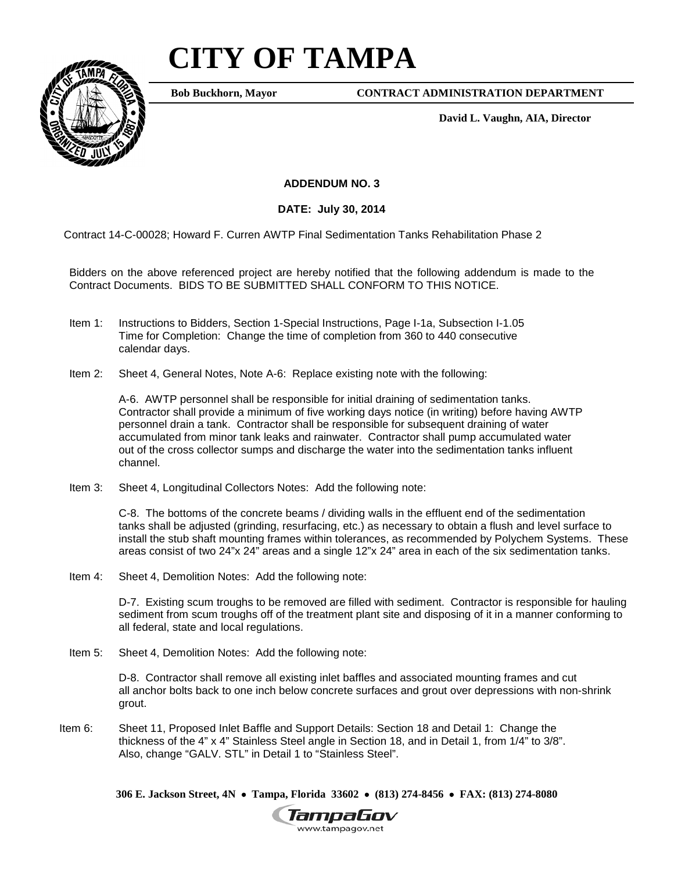# **CITY OF TAMPA**



**Bob Buckhorn, Mayor**

**CONTRACT ADMINISTRATION DEPARTMENT**

**David L. Vaughn, AIA, Director**

**ADDENDUM NO. 3**

**DATE: July 30, 2014**

Contract 14-C-00028; Howard F. Curren AWTP Final Sedimentation Tanks Rehabilitation Phase 2

Bidders on the above referenced project are hereby notified that the following addendum is made to the Contract Documents. BIDS TO BE SUBMITTED SHALL CONFORM TO THIS NOTICE.

- Item 1: Instructions to Bidders, Section 1-Special Instructions, Page I-1a, Subsection I-1.05 Time for Completion: Change the time of completion from 360 to 440 consecutive calendar days.
- Item 2: Sheet 4, General Notes, Note A-6: Replace existing note with the following:

A-6. AWTP personnel shall be responsible for initial draining of sedimentation tanks. Contractor shall provide a minimum of five working days notice (in writing) before having AWTP personnel drain a tank. Contractor shall be responsible for subsequent draining of water accumulated from minor tank leaks and rainwater. Contractor shall pump accumulated water out of the cross collector sumps and discharge the water into the sedimentation tanks influent channel.

Item 3: Sheet 4, Longitudinal Collectors Notes: Add the following note:

C-8. The bottoms of the concrete beams / dividing walls in the effluent end of the sedimentation tanks shall be adjusted (grinding, resurfacing, etc.) as necessary to obtain a flush and level surface to install the stub shaft mounting frames within tolerances, as recommended by Polychem Systems. These areas consist of two 24"x 24" areas and a single 12"x 24" area in each of the six sedimentation tanks.

Item 4: Sheet 4, Demolition Notes: Add the following note:

D-7. Existing scum troughs to be removed are filled with sediment. Contractor is responsible for hauling sediment from scum troughs off of the treatment plant site and disposing of it in a manner conforming to all federal, state and local regulations.

Item 5: Sheet 4, Demolition Notes: Add the following note:

D-8. Contractor shall remove all existing inlet baffles and associated mounting frames and cut all anchor bolts back to one inch below concrete surfaces and grout over depressions with non-shrink grout.

Item 6: Sheet 11, Proposed Inlet Baffle and Support Details: Section 18 and Detail 1: Change the thickness of the 4" x 4" Stainless Steel angle in Section 18, and in Detail 1, from 1/4" to 3/8". Also, change "GALV. STL" in Detail 1 to "Stainless Steel".

**306 E. Jackson Street, 4N** • **Tampa, Florida 33602** • **(813) 274-8456** • **FAX: (813) 274-8080**

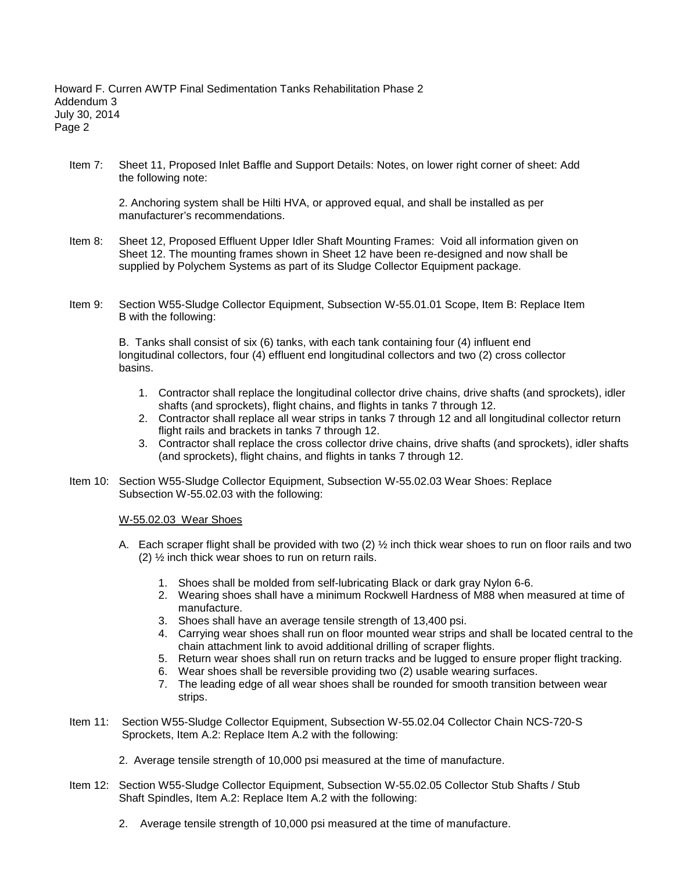Item 7: Sheet 11, Proposed Inlet Baffle and Support Details: Notes, on lower right corner of sheet: Add the following note:

2. Anchoring system shall be Hilti HVA, or approved equal, and shall be installed as per manufacturer's recommendations.

- Item 8: Sheet 12, Proposed Effluent Upper Idler Shaft Mounting Frames: Void all information given on Sheet 12. The mounting frames shown in Sheet 12 have been re-designed and now shall be supplied by Polychem Systems as part of its Sludge Collector Equipment package.
- Item 9: Section W55-Sludge Collector Equipment, Subsection W-55.01.01 Scope, Item B: Replace Item B with the following:

B. Tanks shall consist of six (6) tanks, with each tank containing four (4) influent end longitudinal collectors, four (4) effluent end longitudinal collectors and two (2) cross collector basins.

- 1. Contractor shall replace the longitudinal collector drive chains, drive shafts (and sprockets), idler shafts (and sprockets), flight chains, and flights in tanks 7 through 12.
- 2. Contractor shall replace all wear strips in tanks 7 through 12 and all longitudinal collector return flight rails and brackets in tanks 7 through 12.
- 3. Contractor shall replace the cross collector drive chains, drive shafts (and sprockets), idler shafts (and sprockets), flight chains, and flights in tanks 7 through 12.
- Item 10: Section W55-Sludge Collector Equipment, Subsection W-55.02.03 Wear Shoes: Replace Subsection W-55.02.03 with the following:

#### W-55.02.03 Wear Shoes

- A. Each scraper flight shall be provided with two (2) ½ inch thick wear shoes to run on floor rails and two (2) ½ inch thick wear shoes to run on return rails.
	- 1. Shoes shall be molded from self-lubricating Black or dark gray Nylon 6-6.
	- 2. Wearing shoes shall have a minimum Rockwell Hardness of M88 when measured at time of manufacture.
	- 3. Shoes shall have an average tensile strength of 13,400 psi.
	- 4. Carrying wear shoes shall run on floor mounted wear strips and shall be located central to the chain attachment link to avoid additional drilling of scraper flights.
	- 5. Return wear shoes shall run on return tracks and be lugged to ensure proper flight tracking.
	- 6. Wear shoes shall be reversible providing two (2) usable wearing surfaces.
	- 7. The leading edge of all wear shoes shall be rounded for smooth transition between wear strips.
- Item 11: Section W55-Sludge Collector Equipment, Subsection W-55.02.04 Collector Chain NCS-720-S Sprockets, Item A.2: Replace Item A.2 with the following:
	- 2. Average tensile strength of 10,000 psi measured at the time of manufacture.
- Item 12: Section W55-Sludge Collector Equipment, Subsection W-55.02.05 Collector Stub Shafts / Stub Shaft Spindles, Item A.2: Replace Item A.2 with the following:
	- 2. Average tensile strength of 10,000 psi measured at the time of manufacture.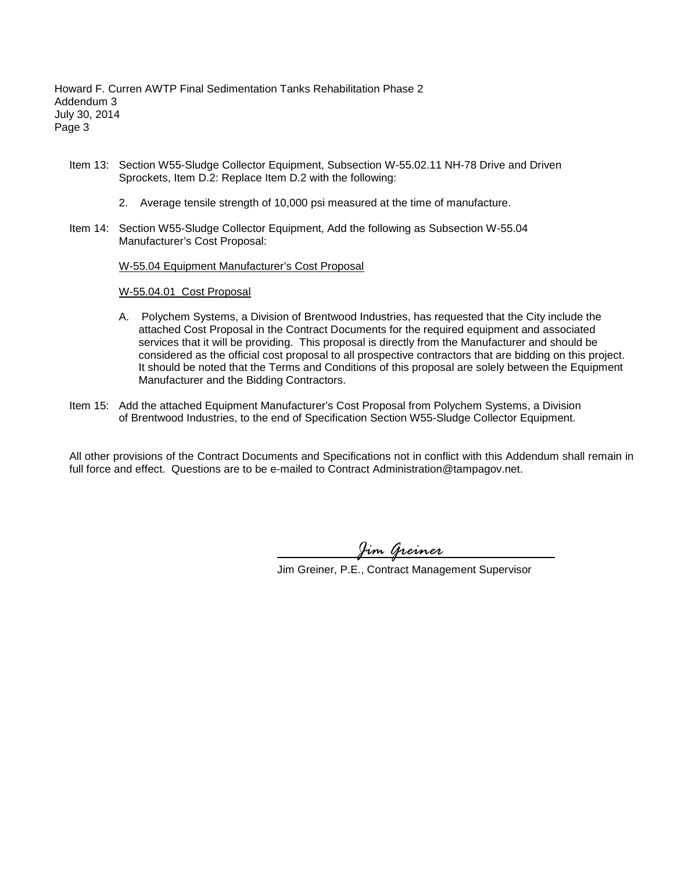- Item 13: Section W55-Sludge Collector Equipment, Subsection W-55.02.11 NH-78 Drive and Driven Sprockets, Item D.2: Replace Item D.2 with the following:
	- 2. Average tensile strength of 10,000 psi measured at the time of manufacture.
- Item 14: Section W55-Sludge Collector Equipment, Add the following as Subsection W-55.04 Manufacturer's Cost Proposal:

W-55.04 Equipment Manufacturer's Cost Proposal

#### W-55.04.01 Cost Proposal

- A. Polychem Systems, a Division of Brentwood Industries, has requested that the City include the attached Cost Proposal in the Contract Documents for the required equipment and associated services that it will be providing. This proposal is directly from the Manufacturer and should be considered as the official cost proposal to all prospective contractors that are bidding on this project. It should be noted that the Terms and Conditions of this proposal are solely between the Equipment Manufacturer and the Bidding Contractors.
- Item 15: Add the attached Equipment Manufacturer's Cost Proposal from Polychem Systems, a Division of Brentwood Industries, to the end of Specification Section W55-Sludge Collector Equipment.

All other provisions of the Contract Documents and Specifications not in conflict with this Addendum shall remain in full force and effect. Questions are to be e-mailed to Contract Administration@tampagov.net.

*Jim Greiner*

Jim Greiner, P.E., Contract Management Supervisor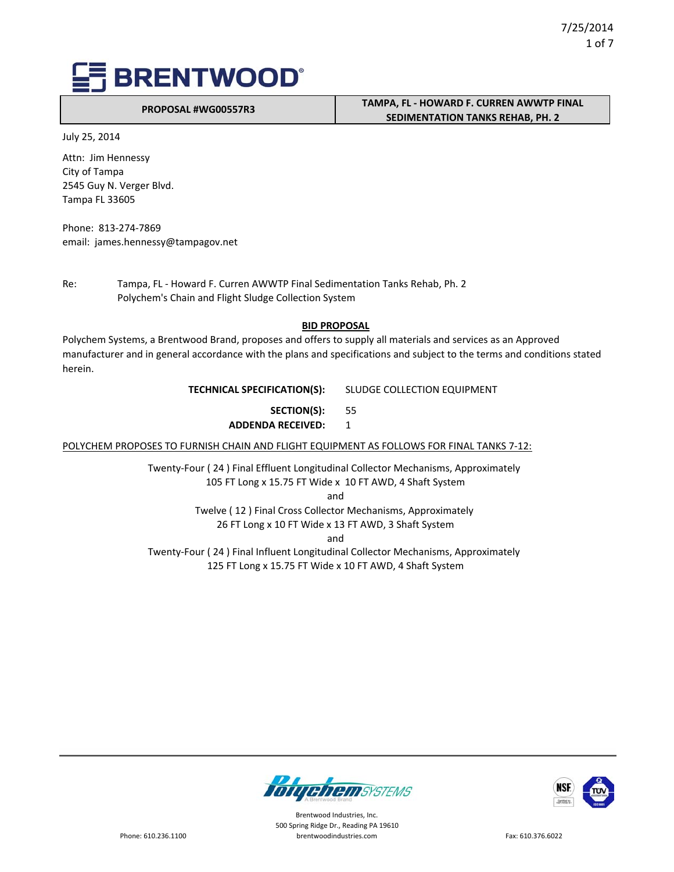**PROPOSAL #WG00557R3**

## **TAMPA, FL ‐ HOWARD F. CURREN AWWTP FINAL SEDIMENTATION TANKS REHAB, PH. 2**

July 25, 2014

Attn: Jim Hennessy City of Tampa 2545 Guy N. Verger Blvd. Tampa FL 33605

Phone: 813‐274‐7869 email: james.hennessy@tampagov.net

Re: Tampa, FL - Howard F. Curren AWWTP Final Sedimentation Tanks Rehab, Ph. 2 Polychem's Chain and Flight Sludge Collection System

### **BID PROPOSAL**

Polychem Systems, a Brentwood Brand, proposes and offers to supply all materials and services as an Approved manufacturer and in general accordance with the plans and specifications and subject to the terms and conditions stated herein.

### **TECHNICAL SPECIFICATION(S):** SLUDGE COLLECTION EQUIPMENT

55 **SECTION(S): ADDENDA RECEIVED:** 1

POLYCHEM PROPOSES TO FURNISH CHAIN AND FLIGHT EQUIPMENT AS FOLLOWS FOR FINAL TANKS 7-12:

Twenty‐Four ( 24 ) Final Effluent Longitudinal Collector Mechanisms, Approximately 105 FT Long x 15.75 FT Wide x 10 FT AWD, 4 Shaft System

and

Twelve ( 12 ) Final Cross Collector Mechanisms, Approximately

26 FT Long x 10 FT Wide x 13 FT AWD, 3 Shaft System

and

Twenty‐Four ( 24 ) Final Influent Longitudinal Collector Mechanisms, Approximately 125 FT Long x 15.75 FT Wide x 10 FT AWD, 4 Shaft System



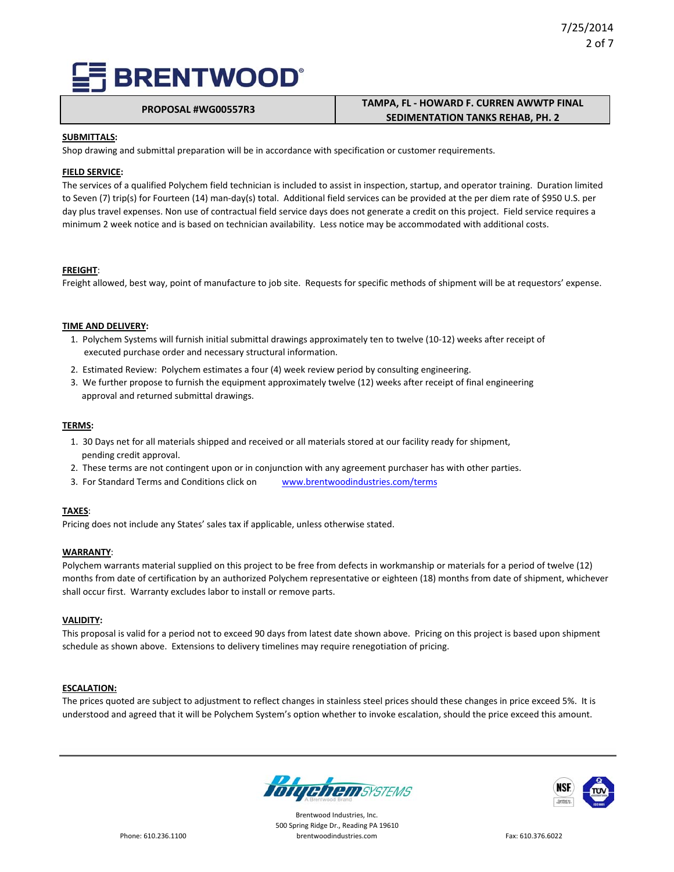# **PROPOSAL #WG00557R3 TAMPA, FL ‐ HOWARD F. CURREN AWWTP FINAL SEDIMENTATION TANKS REHAB, PH. 2**

### **SUBMITTALS:**

Shop drawing and submittal preparation will be in accordance with specification or customer requirements.

#### **FIELD SERVICE:**

The services of a qualified Polychem field technician is included to assist in inspection, startup, and operator training. Duration limited to Seven (7) trip(s) for Fourteen (14) man‐day(s) total. Additional field services can be provided at the per diem rate of \$950 U.S. per day plus travel expenses. Non use of contractual field service days does not generate a credit on this project. Field service requires a minimum 2 week notice and is based on technician availability. Less notice may be accommodated with additional costs.

#### **FREIGHT**:

Freight allowed, best way, point of manufacture to job site. Requests for specific methods of shipment will be at requestors' expense.

### **TIME AND DELIVERY:**

- 1. Polychem Systems will furnish initial submittal drawings approximately ten to twelve (10‐12) weeks after receipt of executed purchase order and necessary structural information.
- 2. Estimated Review: Polychem estimates a four (4) week review period by consulting engineering.
- 3. We further propose to furnish the equipment approximately twelve (12) weeks after receipt of final engineering approval and returned submittal drawings.

#### **TERMS:**

- 1. 30 Days net for all materials shipped and received or all materials stored at our facility ready for shipment, pending credit approval.
- 2. These terms are not contingent upon or in conjunction with any agreement purchaser has with other parties.
- 3. For Standard Terms and Conditions click on www.brentwoodindustries.com/terms

#### **TAXES**:

Pricing does not include any States' sales tax if applicable, unless otherwise stated.

#### **WARRANTY**:

Polychem warrants material supplied on this project to be free from defects in workmanship or materials for a period of twelve (12) months from date of certification by an authorized Polychem representative or eighteen (18) months from date of shipment, whichever shall occur first. Warranty excludes labor to install or remove parts.

#### **VALIDITY:**

This proposal is valid for a period not to exceed 90 days from latest date shown above. Pricing on this project is based upon shipment schedule as shown above. Extensions to delivery timelines may require renegotiation of pricing.

#### **ESCALATION:**

The prices quoted are subject to adjustment to reflect changes in stainless steel prices should these changes in price exceed 5%. It is understood and agreed that it will be Polychem System's option whether to invoke escalation, should the price exceed this amount.



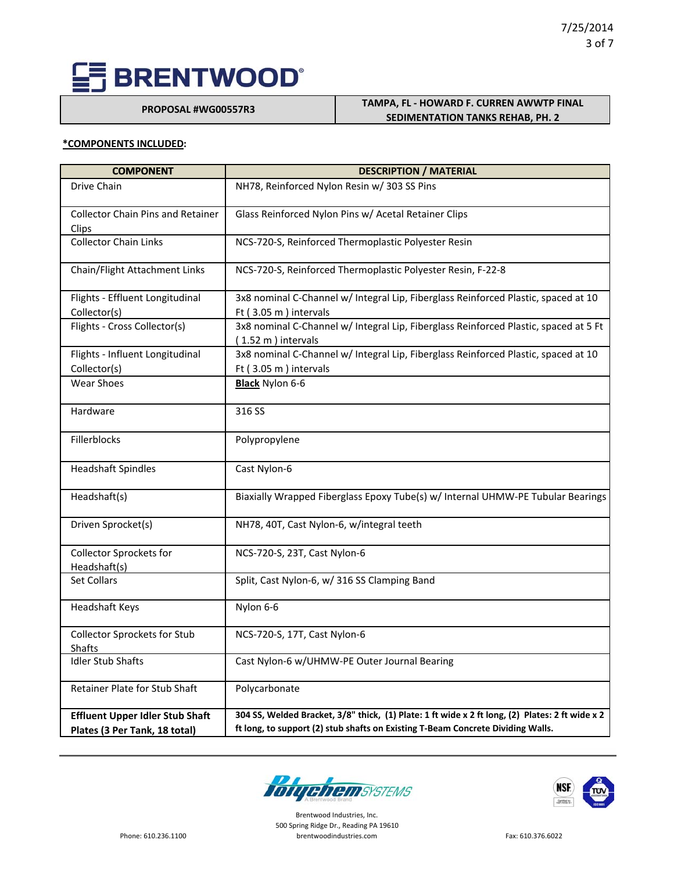**PROPOSAL #WG00557R3**

### **TAMPA, FL ‐ HOWARD F. CURREN AWWTP FINAL SEDIMENTATION TANKS REHAB, PH. 2**

#### **\*COMPONENTS INCLUDED:**

| <b>COMPONENT</b>                                  | <b>DESCRIPTION / MATERIAL</b>                                                                              |
|---------------------------------------------------|------------------------------------------------------------------------------------------------------------|
| Drive Chain                                       | NH78, Reinforced Nylon Resin w/ 303 SS Pins                                                                |
| <b>Collector Chain Pins and Retainer</b><br>Clips | Glass Reinforced Nylon Pins w/ Acetal Retainer Clips                                                       |
| <b>Collector Chain Links</b>                      | NCS-720-S, Reinforced Thermoplastic Polyester Resin                                                        |
| Chain/Flight Attachment Links                     | NCS-720-S, Reinforced Thermoplastic Polyester Resin, F-22-8                                                |
| Flights - Effluent Longitudinal                   | 3x8 nominal C-Channel w/ Integral Lip, Fiberglass Reinforced Plastic, spaced at 10                         |
| Collector(s)                                      | Ft (3.05 m) intervals                                                                                      |
| Flights - Cross Collector(s)                      | 3x8 nominal C-Channel w/ Integral Lip, Fiberglass Reinforced Plastic, spaced at 5 Ft<br>(1.52 m) intervals |
| Flights - Influent Longitudinal                   | 3x8 nominal C-Channel w/ Integral Lip, Fiberglass Reinforced Plastic, spaced at 10                         |
| Collector(s)                                      | Ft (3.05 m) intervals                                                                                      |
| <b>Wear Shoes</b>                                 | <b>Black Nylon 6-6</b>                                                                                     |
| Hardware                                          | 316 SS                                                                                                     |
| Fillerblocks                                      | Polypropylene                                                                                              |
| <b>Headshaft Spindles</b>                         | Cast Nylon-6                                                                                               |
| Headshaft(s)                                      | Biaxially Wrapped Fiberglass Epoxy Tube(s) w/ Internal UHMW-PE Tubular Bearings                            |
| Driven Sprocket(s)                                | NH78, 40T, Cast Nylon-6, w/integral teeth                                                                  |
| <b>Collector Sprockets for</b><br>Headshaft(s)    | NCS-720-S, 23T, Cast Nylon-6                                                                               |
| Set Collars                                       | Split, Cast Nylon-6, w/ 316 SS Clamping Band                                                               |
| Headshaft Keys                                    | Nylon 6-6                                                                                                  |
| Collector Sprockets for Stub<br><b>Shafts</b>     | NCS-720-S, 17T, Cast Nylon-6                                                                               |
| <b>Idler Stub Shafts</b>                          | Cast Nylon-6 w/UHMW-PE Outer Journal Bearing                                                               |
| <b>Retainer Plate for Stub Shaft</b>              | Polycarbonate                                                                                              |
| <b>Effluent Upper Idler Stub Shaft</b>            | 304 SS, Welded Bracket, 3/8" thick, (1) Plate: 1 ft wide x 2 ft long, (2) Plates: 2 ft wide x 2            |
| Plates (3 Per Tank, 18 total)                     | ft long, to support (2) stub shafts on Existing T-Beam Concrete Dividing Walls.                            |



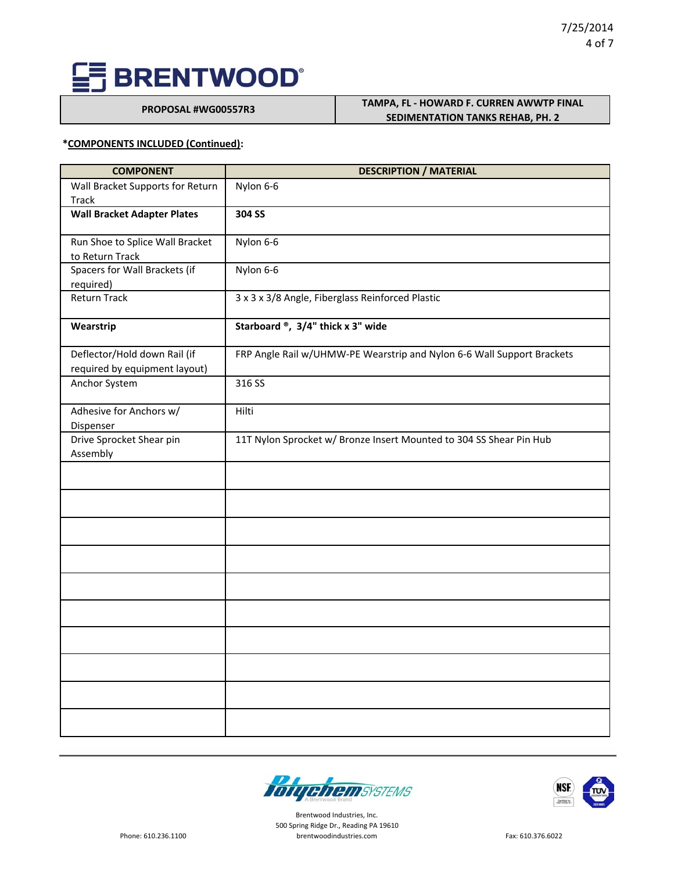**PROPOSAL #WG00557R3 TAMPA, FL - HOWARD F. CURREN AWWTP FINAL SEDIMENTATION TANKS REHAB, PH. 2**

### **\*COMPONENTS INCLUDED (Continued):**

| <b>COMPONENT</b>                   | <b>DESCRIPTION / MATERIAL</b>                                          |
|------------------------------------|------------------------------------------------------------------------|
| Wall Bracket Supports for Return   | Nylon 6-6                                                              |
| <b>Track</b>                       |                                                                        |
| <b>Wall Bracket Adapter Plates</b> | 304 SS                                                                 |
|                                    |                                                                        |
| Run Shoe to Splice Wall Bracket    | Nylon 6-6                                                              |
| to Return Track                    |                                                                        |
| Spacers for Wall Brackets (if      | Nylon 6-6                                                              |
| required)                          |                                                                        |
| <b>Return Track</b>                | 3 x 3 x 3/8 Angle, Fiberglass Reinforced Plastic                       |
| Wearstrip                          | Starboard ®, 3/4" thick x 3" wide                                      |
| Deflector/Hold down Rail (if       | FRP Angle Rail w/UHMW-PE Wearstrip and Nylon 6-6 Wall Support Brackets |
| required by equipment layout)      |                                                                        |
| Anchor System                      | 316 SS                                                                 |
|                                    |                                                                        |
| Adhesive for Anchors w/            | Hilti                                                                  |
| Dispenser                          |                                                                        |
| Drive Sprocket Shear pin           | 11T Nylon Sprocket w/ Bronze Insert Mounted to 304 SS Shear Pin Hub    |
| Assembly                           |                                                                        |
|                                    |                                                                        |
|                                    |                                                                        |
|                                    |                                                                        |
|                                    |                                                                        |
|                                    |                                                                        |
|                                    |                                                                        |
|                                    |                                                                        |
|                                    |                                                                        |
|                                    |                                                                        |
|                                    |                                                                        |
|                                    |                                                                        |
|                                    |                                                                        |
|                                    |                                                                        |



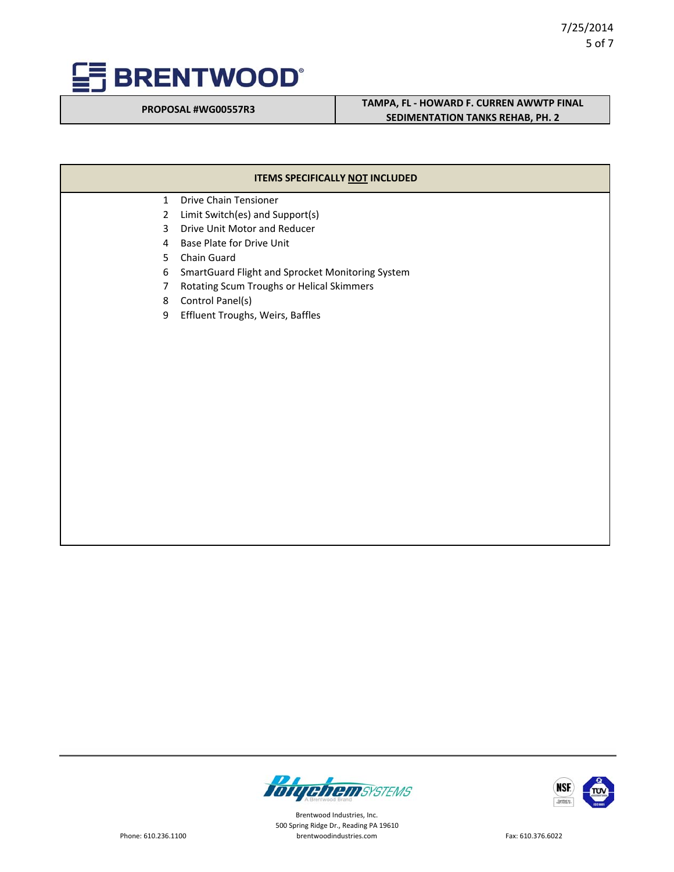

# **PROPOSAL #WG00557R3 TAMPA, FL - HOWARD F. CURREN AWWTP FINAL SEDIMENTATION TANKS REHAB, PH. 2**

| ITEMS SPECIFICALLY NOT INCLUDED |                                                  |  |
|---------------------------------|--------------------------------------------------|--|
| $\mathbf{1}$                    | <b>Drive Chain Tensioner</b>                     |  |
| $\overline{2}$                  | Limit Switch(es) and Support(s)                  |  |
| 3                               | Drive Unit Motor and Reducer                     |  |
| 4                               | Base Plate for Drive Unit                        |  |
| 5                               | Chain Guard                                      |  |
| 6                               | SmartGuard Flight and Sprocket Monitoring System |  |
| $\overline{7}$                  | Rotating Scum Troughs or Helical Skimmers        |  |
| 8                               | Control Panel(s)                                 |  |
| 9                               | Effluent Troughs, Weirs, Baffles                 |  |
|                                 |                                                  |  |
|                                 |                                                  |  |
|                                 |                                                  |  |
|                                 |                                                  |  |
|                                 |                                                  |  |



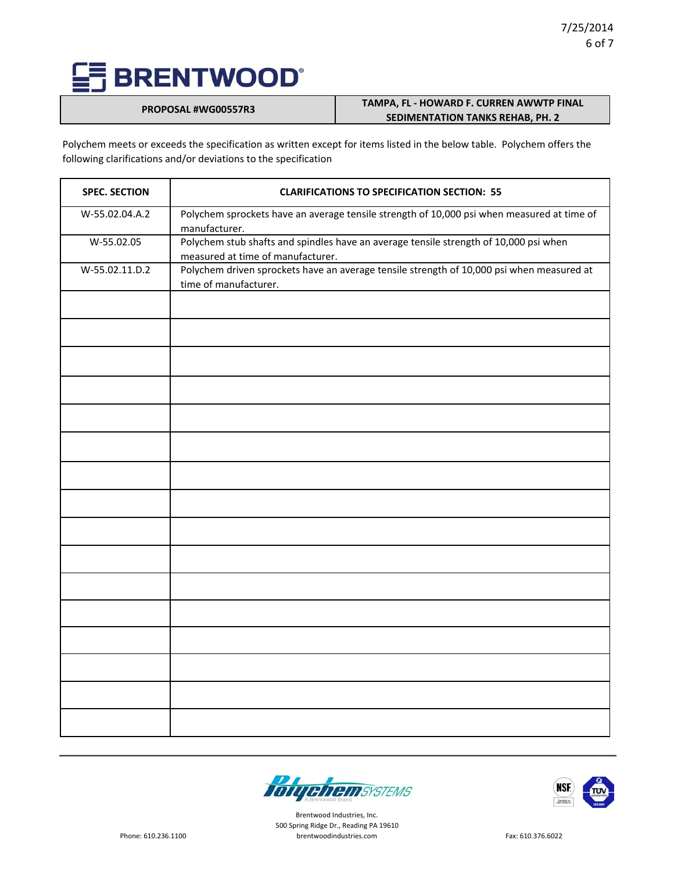## **PROPOSAL #WG00557R3 TAMPA, FL - HOWARD F. CURREN AWWTP FINAL SEDIMENTATION TANKS REHAB, PH. 2**

Polychem meets or exceeds the specification as written except for items listed in the below table. Polychem offers the following clarifications and/or deviations to the specification

| <b>SPEC. SECTION</b> | <b>CLARIFICATIONS TO SPECIFICATION SECTION: 55</b>                                                                         |
|----------------------|----------------------------------------------------------------------------------------------------------------------------|
| W-55.02.04.A.2       | Polychem sprockets have an average tensile strength of 10,000 psi when measured at time of<br>manufacturer.                |
| W-55.02.05           | Polychem stub shafts and spindles have an average tensile strength of 10,000 psi when<br>measured at time of manufacturer. |
| W-55.02.11.D.2       | Polychem driven sprockets have an average tensile strength of 10,000 psi when measured at<br>time of manufacturer.         |
|                      |                                                                                                                            |
|                      |                                                                                                                            |
|                      |                                                                                                                            |
|                      |                                                                                                                            |
|                      |                                                                                                                            |
|                      |                                                                                                                            |
|                      |                                                                                                                            |
|                      |                                                                                                                            |
|                      |                                                                                                                            |
|                      |                                                                                                                            |
|                      |                                                                                                                            |
|                      |                                                                                                                            |
|                      |                                                                                                                            |
|                      |                                                                                                                            |